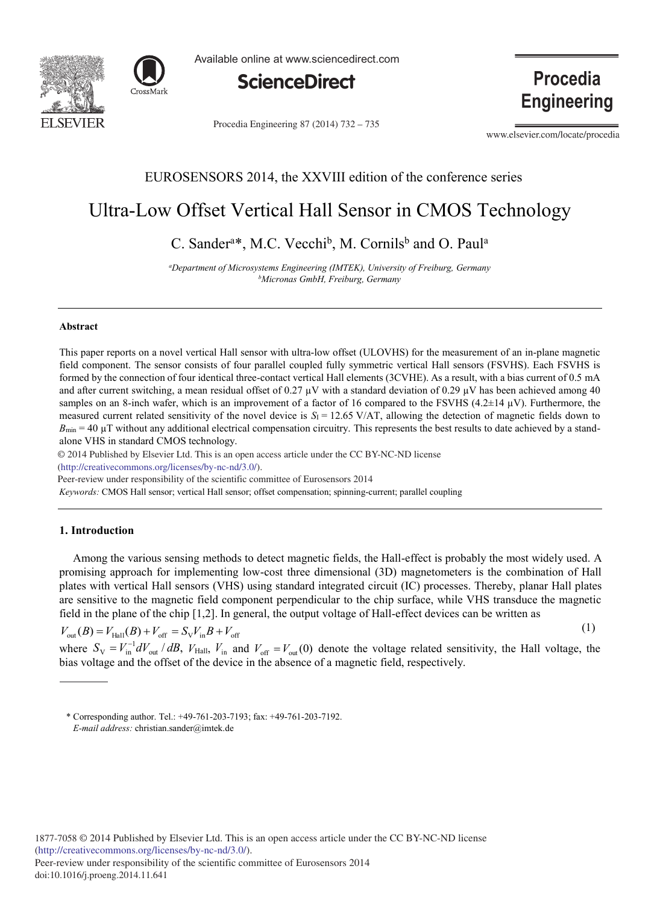



Available online at www.sciencedirect.com



Procedia Engineering 87 (2014) 732 - 735

**Procedia Engineering** 

www.elsevier.com/locate/procedia

### EUROSENSORS 2014, the XXVIII edition of the conference series

## Ultra-Low Offset Vertical Hall Sensor in CMOS Technology

C. Sander<sup>a\*</sup>, M.C. Vecchi<sup>b</sup>, M. Cornils<sup>b</sup> and O. Paul<sup>a</sup>

*a Department of Microsystems Engineering (IMTEK), University of Freiburg, Germany b Micronas GmbH, Freiburg, Germany* 

#### **Abstract**

This paper reports on a novel vertical Hall sensor with ultra-low offset (ULOVHS) for the measurement of an in-plane magnetic field component. The sensor consists of four parallel coupled fully symmetric vertical Hall sensors (FSVHS). Each FSVHS is formed by the connection of four identical three-contact vertical Hall elements (3CVHE). As a result, with a bias current of 0.5 mA and after current switching, a mean residual offset of 0.27  $\mu$ V with a standard deviation of 0.29  $\mu$ V has been achieved among 40 samples on an 8-inch wafer, which is an improvement of a factor of 16 compared to the FSVHS (4.2 $\pm$ 14  $\mu$ V). Furthermore, the measured current related sensitivity of the novel device is  $S_1 = 12.65 \text{ V/AT}$ , allowing the detection of magnetic fields down to  $B_{\text{min}} = 40 \mu T$  without any additional electrical compensation circuitry. This represents the best results to date achieved by a standalone VHS in standard CMOS technology.

© 2014 Published by Elsevier Ltd. This is an open access article under the CC BY-NC-ND license

(http://creativecommons.org/licenses/by-nc-nd/3.0/).

Peer-review under responsibility of the scientific committee of Eurosensors 2014

*Keywords:* CMOS Hall sensor; vertical Hall sensor; offset compensation; spinning-current; parallel coupling

#### **1. Introduction**

Among the various sensing methods to detect magnetic fields, the Hall-effect is probably the most widely used. A promising approach for implementing low-cost three dimensional (3D) magnetometers is the combination of Hall plates with vertical Hall sensors (VHS) using standard integrated circuit (IC) processes. Thereby, planar Hall plates are sensitive to the magnetic field component perpendicular to the chip surface, while VHS transduce the magnetic field in the plane of the chip [1,2]. In general, the output voltage of Hall-effect devices can be written as

 $V_{\text{out}}(B) = V_{\text{Hall}}(B) + V_{\text{off}} = S_{\text{V}}V_{\text{in}}B + V_{\text{off}}$  (1)

where  $S_V = V_{in}^{-1} dV_{out} / dB$ ,  $V_{Hall}$ ,  $V_{in}$  and  $V_{off} = V_{out}(0)$  denote the voltage related sensitivity, the Hall voltage, the bias voltage and the offset of the device in the absence of a magnetic field, respectively.

<sup>\*</sup> Corresponding author. Tel.: +49-761-203-7193; fax: +49-761-203-7192. *E-mail address:* christian.sander@imtek.de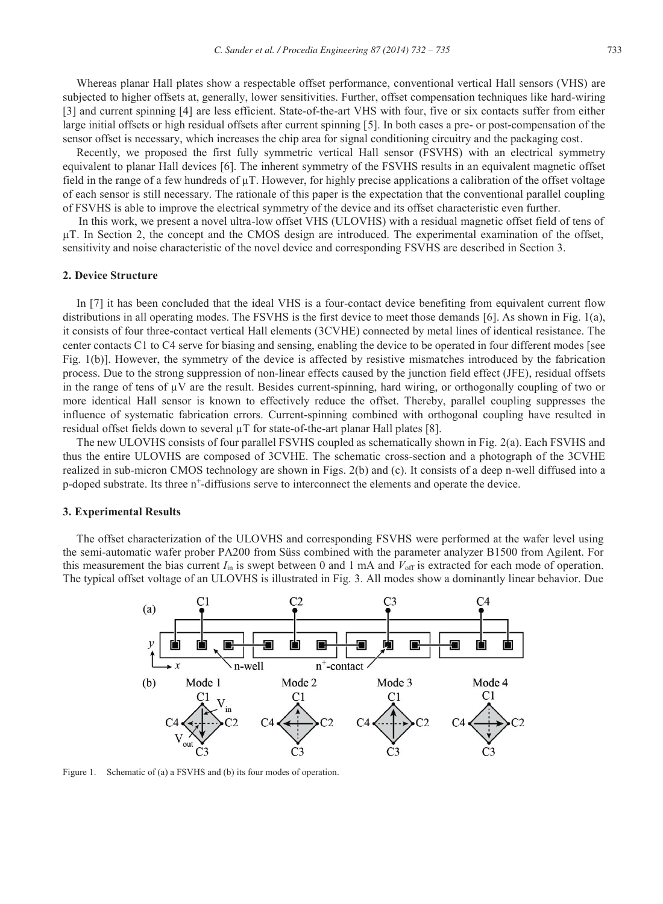Whereas planar Hall plates show a respectable offset performance, conventional vertical Hall sensors (VHS) are subjected to higher offsets at, generally, lower sensitivities. Further, offset compensation techniques like hard-wiring [3] and current spinning [4] are less efficient. State-of-the-art VHS with four, five or six contacts suffer from either large initial offsets or high residual offsets after current spinning [5]. In both cases a pre- or post-compensation of the sensor offset is necessary, which increases the chip area for signal conditioning circuitry and the packaging cost.

Recently, we proposed the first fully symmetric vertical Hall sensor (FSVHS) with an electrical symmetry equivalent to planar Hall devices [6]. The inherent symmetry of the FSVHS results in an equivalent magnetic offset field in the range of a few hundreds of μT. However, for highly precise applications a calibration of the offset voltage of each sensor is still necessary. The rationale of this paper is the expectation that the conventional parallel coupling of FSVHS is able to improve the electrical symmetry of the device and its offset characteristic even further.

In this work, we present a novel ultra-low offset VHS (ULOVHS) with a residual magnetic offset field of tens of μT. In Section 2, the concept and the CMOS design are introduced. The experimental examination of the offset, sensitivity and noise characteristic of the novel device and corresponding FSVHS are described in Section 3.

#### **2. Device Structure**

In [7] it has been concluded that the ideal VHS is a four-contact device benefiting from equivalent current flow distributions in all operating modes. The FSVHS is the first device to meet those demands [6]. As shown in Fig. 1(a), it consists of four three-contact vertical Hall elements (3CVHE) connected by metal lines of identical resistance. The center contacts C1 to C4 serve for biasing and sensing, enabling the device to be operated in four different modes [see Fig. 1(b)]. However, the symmetry of the device is affected by resistive mismatches introduced by the fabrication process. Due to the strong suppression of non-linear effects caused by the junction field effect (JFE), residual offsets in the range of tens of μV are the result. Besides current-spinning, hard wiring, or orthogonally coupling of two or more identical Hall sensor is known to effectively reduce the offset. Thereby, parallel coupling suppresses the influence of systematic fabrication errors. Current-spinning combined with orthogonal coupling have resulted in residual offset fields down to several μT for state-of-the-art planar Hall plates [8].

The new ULOVHS consists of four parallel FSVHS coupled as schematically shown in Fig. 2(a). Each FSVHS and thus the entire ULOVHS are composed of 3CVHE. The schematic cross-section and a photograph of the 3CVHE realized in sub-micron CMOS technology are shown in Figs. 2(b) and (c). It consists of a deep n-well diffused into a p-doped substrate. Its three n+-diffusions serve to interconnect the elements and operate the device.

#### **3. Experimental Results**

The offset characterization of the ULOVHS and corresponding FSVHS were performed at the wafer level using the semi-automatic wafer prober PA200 from Süss combined with the parameter analyzer B1500 from Agilent. For this measurement the bias current  $I_{\text{in}}$  is swept between 0 and 1 mA and  $V_{\text{off}}$  is extracted for each mode of operation. The typical offset voltage of an ULOVHS is illustrated in Fig. 3. All modes show a dominantly linear behavior. Due



Figure 1. Schematic of (a) a FSVHS and (b) its four modes of operation.